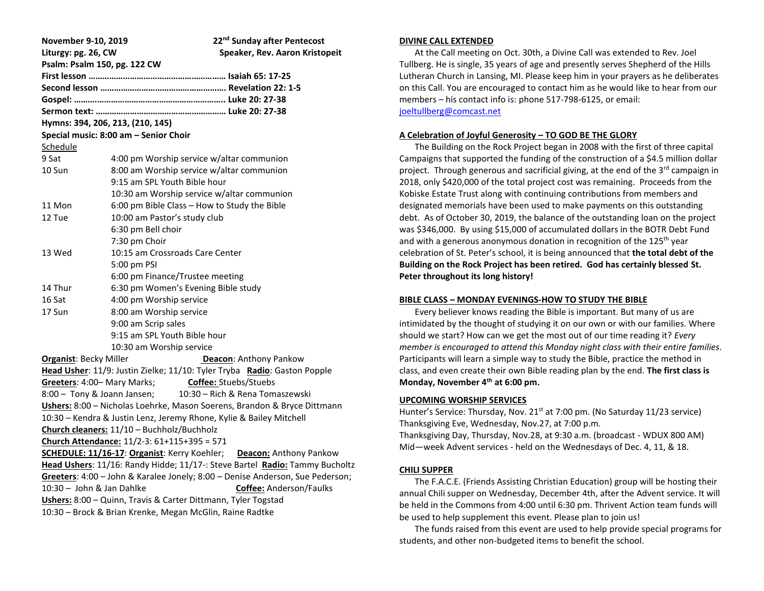| November 9-10, 2019                                                           |                                              | 22 <sup>nd</sup> Sunday after Pentecost |
|-------------------------------------------------------------------------------|----------------------------------------------|-----------------------------------------|
| Liturgy: pg. 26, CW                                                           |                                              | Speaker, Rev. Aaron Kristopeit          |
| Psalm: Psalm 150, pg. 122 CW                                                  |                                              |                                         |
|                                                                               |                                              |                                         |
|                                                                               |                                              |                                         |
|                                                                               |                                              |                                         |
|                                                                               |                                              |                                         |
| Hymns: 394, 206, 213, (210, 145)                                              |                                              |                                         |
| Special music: 8:00 am - Senior Choir                                         |                                              |                                         |
| Schedule                                                                      |                                              |                                         |
| 9 Sat                                                                         | 4:00 pm Worship service w/altar communion    |                                         |
| 10 Sun                                                                        | 8:00 am Worship service w/altar communion    |                                         |
|                                                                               | 9:15 am SPL Youth Bible hour                 |                                         |
|                                                                               | 10:30 am Worship service w/altar communion   |                                         |
| 11 Mon                                                                        | 6:00 pm Bible Class - How to Study the Bible |                                         |
| 12 Tue                                                                        | 10:00 am Pastor's study club                 |                                         |
|                                                                               | 6:30 pm Bell choir                           |                                         |
|                                                                               | 7:30 pm Choir                                |                                         |
| 13 Wed                                                                        | 10:15 am Crossroads Care Center              |                                         |
|                                                                               | 5:00 pm PSI                                  |                                         |
|                                                                               | 6:00 pm Finance/Trustee meeting              |                                         |
| 14 Thur                                                                       | 6:30 pm Women's Evening Bible study          |                                         |
| 16 Sat                                                                        | 4:00 pm Worship service                      |                                         |
| 17 Sun                                                                        | 8:00 am Worship service                      |                                         |
|                                                                               | 9:00 am Scrip sales                          |                                         |
|                                                                               | 9:15 am SPL Youth Bible hour                 |                                         |
|                                                                               | 10:30 am Worship service                     |                                         |
| <b>Organist: Becky Miller</b><br>Deacon: Anthony Pankow                       |                                              |                                         |
| Head Usher: 11/9: Justin Zielke; 11/10: Tyler Tryba Radio: Gaston Popple      |                                              |                                         |
| Greeters: 4:00- Mary Marks;<br><b>Coffee:</b> Stuebs/Stuebs                   |                                              |                                         |
| 8:00 - Tony & Joann Jansen;<br>10:30 – Rich & Rena Tomaszewski                |                                              |                                         |
| Ushers: 8:00 - Nicholas Loehrke, Mason Soerens, Brandon & Bryce Dittmann      |                                              |                                         |
| 10:30 - Kendra & Justin Lenz, Jeremy Rhone, Kylie & Bailey Mitchell           |                                              |                                         |
| Church cleaners: 11/10 - Buchholz/Buchholz                                    |                                              |                                         |
| Church Attendance: 11/2-3: 61+115+395 = 571                                   |                                              |                                         |
| <b>SCHEDULE: 11/16-17: Organist:</b> Kerry Koehler; Deacon: Anthony Pankow    |                                              |                                         |
| Head Ushers: 11/16: Randy Hidde; 11/17 -: Steve Bartel Radio: Tammy Bucholtz  |                                              |                                         |
| Greeters: 4:00 - John & Karalee Jonely; 8:00 - Denise Anderson, Sue Pederson; |                                              |                                         |
| $10:30 -$ John & Jan Dahlke<br><b>Coffee:</b> Anderson/Faulks                 |                                              |                                         |
| Ushers: 8:00 - Quinn, Travis & Carter Dittmann, Tyler Togstad                 |                                              |                                         |
| 10:30 - Brock & Brian Krenke, Megan McGlin, Raine Radtke                      |                                              |                                         |

#### **DIVINE CALL EXTENDED**

 At the Call meeting on Oct. 30th, a Divine Call was extended to Rev. Joel Tullberg. He is single, 35 years of age and presently serves Shepherd of the Hills Lutheran Church in Lansing, MI. Please keep him in your prayers as he deliberates on this Call. You are encouraged to contact him as he would like to hear from our members – his contact info is: phone 517-798-6125, or email: [joeltullberg@comcast.net](mailto:joeltullberg@comcast.net)

### **A Celebration of Joyful Generosity – TO GOD BE THE GLORY**

 The Building on the Rock Project began in 2008 with the first of three capital Campaigns that supported the funding of the construction of a \$4.5 million dollar project. Through generous and sacrificial giving, at the end of the 3<sup>rd</sup> campaign in 2018, only \$420,000 of the total project cost was remaining. Proceeds from the Kobiske Estate Trust along with continuing contributions from members and designated memorials have been used to make payments on this outstanding debt. As of October 30, 2019, the balance of the outstanding loan on the project was \$346,000. By using \$15,000 of accumulated dollars in the BOTR Debt Fund and with a generous anonymous donation in recognition of the  $125<sup>th</sup>$  year celebration of St. Peter's school, it is being announced that **the total debt of the Building on the Rock Project has been retired. God has certainly blessed St. Peter throughout its long history!**

#### **BIBLE CLASS – MONDAY EVENINGS-HOW TO STUDY THE BIBLE**

 Every believer knows reading the Bible is important. But many of us are intimidated by the thought of studying it on our own or with our families. Where should we start? How can we get the most out of our time reading it? *Every member is encouraged to attend this Monday night class with their entire families*. Participants will learn a simple way to study the Bible, practice the method in class, and even create their own Bible reading plan by the end. **The first class is Monday, November 4th at 6:00 pm.**

#### **UPCOMING WORSHIP SERVICES**

Hunter's Service: Thursday, Nov.  $21<sup>st</sup>$  at 7:00 pm. (No Saturday 11/23 service) Thanksgiving Eve, Wednesday, Nov.27, at 7:00 p.m. Thanksgiving Day, Thursday, Nov.28, at 9:30 a.m. (broadcast - WDUX 800 AM) Mid—week Advent services - held on the Wednesdays of Dec. 4, 11, & 18.

#### **CHILI SUPPER**

 The F.A.C.E. (Friends Assisting Christian Education) group will be hosting their annual Chili supper on Wednesday, December 4th, after the Advent service. It will be held in the Commons from 4:00 until 6:30 pm. Thrivent Action team funds will be used to help supplement this event. Please plan to join us!

 The funds raised from this event are used to help provide special programs for students, and other non-budgeted items to benefit the school.